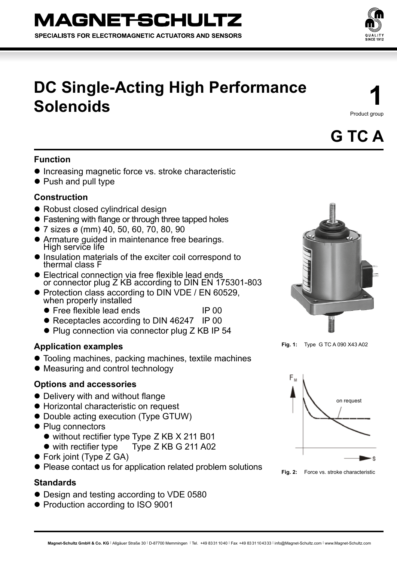

# **DC Single-Acting High Performance Solenoids**

**1** Product group

**G TC A**

# **Function**

- **Increasing magnetic force vs. stroke characteristic**
- Push and pull type

## **Construction**

- Robust closed cylindrical design
- Fastening with flange or through three tapped holes
- 7 sizes ø (mm) 40, 50, 60, 70, 80, 90
- Armature guided in maintenance free bearings. High service life
- Insulation materials of the exciter coil correspond to thermal class F
- $\bullet$  Electrical connection via free flexible lead ends or connector plug Z KB according to DIN EN 175301-803
- Protection class according to DIN VDE / EN 60529, when properly installed
	- Free flexible lead ends IP 00
	- Receptacles according to DIN 46247 IP 00
	- Plug connection via connector plug Z KB IP 54

## **Application examples**

- Tooling machines, packing machines, textile machines
- Measuring and control technology

## **Options and accessories**

- Delivery with and without flange
- Horizontal characteristic on request
- Double acting execution (Type GTUW)
- Plug connectors
	- $\bullet$  without rectifier type Type Z KB X 211 B01
	- with rectifier type Type Z KB G 211 A02
- Fork joint (Type Z GA)
- Please contact us for application related problem solutions

## **Standards**

- Design and testing according to VDE 0580
- Production according to ISO 9001

**Fig. 1:** Type G TC A 090 X43 A02



Fig. 2: Force vs. stroke characteristic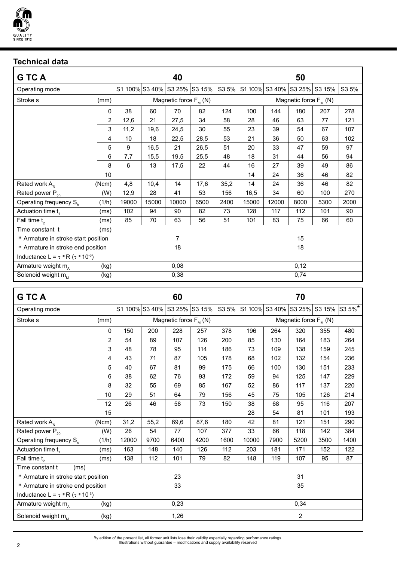

# **Technical data**

| <b>GTCA</b>                                                       |       | 40                           |       |                            |      | 50    |                            |                       |      |        |       |
|-------------------------------------------------------------------|-------|------------------------------|-------|----------------------------|------|-------|----------------------------|-----------------------|------|--------|-------|
| Operating mode                                                    |       | S1 100% S3 40% S3 25% S3 15% |       |                            |      | S3 5% |                            | S1 100% S3 40% S3 25% |      | S3 15% | S3 5% |
| Stroke s                                                          | (mm)  |                              |       | Magnetic force $F_{M}$ (N) |      |       | Magnetic force $F_{M}$ (N) |                       |      |        |       |
|                                                                   | 0     | 38                           | 60    | 70                         | 82   | 124   | 100                        | 144                   | 180  | 207    | 278   |
|                                                                   | 2     | 12,6                         | 21    | 27,5                       | 34   | 58    | 28                         | 46                    | 63   | 77     | 121   |
|                                                                   | 3     | 11,2                         | 19,6  | 24,5                       | 30   | 55    | 23                         | 39                    | 54   | 67     | 107   |
|                                                                   | 4     | 10                           | 18    | 22,5                       | 28,5 | 53    | 21                         | 36                    | 50   | 63     | 102   |
|                                                                   | 5     | 9                            | 16,5  | 21                         | 26,5 | 51    | 20                         | 33                    | 47   | 59     | 97    |
|                                                                   | 6     | 7,7                          | 15,5  | 19,5                       | 25,5 | 48    | 18                         | 31                    | 44   | 56     | 94    |
|                                                                   | 8     | 6                            | 13    | 17,5                       | 22   | 44    | 16                         | 27                    | 39   | 49     | 86    |
|                                                                   | 10    |                              |       |                            |      |       | 14                         | 24                    | 36   | 46     | 82    |
| Rated work A <sub>N</sub>                                         | (Ncm) | 4,8                          | 10,4  | 14                         | 17,6 | 35,2  | 14                         | 24                    | 36   | 46     | 82    |
| Rated power P <sub>20</sub>                                       | (W)   | 12,9                         | 28    | 41                         | 53   | 156   | 16,5                       | 34                    | 60   | 100    | 270   |
| Operating frequency S <sub>h</sub>                                | (1/h) | 19000                        | 15000 | 10000                      | 6500 | 2400  | 15000                      | 12000                 | 8000 | 5300   | 2000  |
| Actuation time t <sub>1</sub>                                     | (ms)  | 102                          | 94    | 90                         | 82   | 73    | 128                        | 117                   | 112  | 101    | 90    |
| Fall time t <sub>2</sub>                                          | (ms)  | 85                           | 70    | 63                         | 56   | 51    | 101                        | 83                    | 75   | 66     | 60    |
| Time constant t                                                   | (ms)  |                              |       |                            |      |       |                            |                       |      |        |       |
| * Armature in stroke start position                               | 7     |                              |       |                            |      | 15    |                            |                       |      |        |       |
| * Armature in stroke end position                                 | 18    |                              |       |                            |      | 18    |                            |                       |      |        |       |
| Inductance L = $\tau$ <b>R</b> ( $\tau$ <b>10</b> <sup>-3</sup> ) |       |                              |       |                            |      |       |                            |                       |      |        |       |
| Armature weight m <sub>a</sub>                                    | (kg)  |                              | 0,08  |                            |      |       | 0,12                       |                       |      |        |       |
| Solenoid weight m <sub>M</sub>                                    | (kg)  |                              | 0,38  |                            |      |       | 0,74                       |                       |      |        |       |
|                                                                   |       |                              |       |                            |      |       |                            |                       |      |        |       |

| <b>GTCA</b>                                                       | 60    |                              |      |                            |      | 70    |                            |                       |      |        |        |
|-------------------------------------------------------------------|-------|------------------------------|------|----------------------------|------|-------|----------------------------|-----------------------|------|--------|--------|
| Operating mode                                                    |       | S1 100% S3 40% S3 25% S3 15% |      |                            |      | S3 5% |                            | S1 100% S3 40% S3 25% |      | S3 15% | S3 5%* |
| Stroke <sub>s</sub>                                               | (mm)  |                              |      | Magnetic force $F_{M}$ (N) |      |       | Magnetic force $F_{M}$ (N) |                       |      |        |        |
|                                                                   | 0     | 150                          | 200  | 228                        | 257  | 378   | 196                        | 264                   | 320  | 355    | 480    |
|                                                                   | 2     | 54                           | 89   | 107                        | 126  | 200   | 85                         | 130                   | 164  | 183    | 264    |
|                                                                   | 3     | 48                           | 78   | 95                         | 114  | 186   | 73                         | 109                   | 138  | 159    | 245    |
|                                                                   | 4     | 43                           | 71   | 87                         | 105  | 178   | 68                         | 102                   | 132  | 154    | 236    |
|                                                                   | 5     | 40                           | 67   | 81                         | 99   | 175   | 66                         | 100                   | 130  | 151    | 233    |
|                                                                   | 6     | 38                           | 62   | 76                         | 93   | 172   | 59                         | 94                    | 125  | 147    | 229    |
|                                                                   | 8     | 32                           | 55   | 69                         | 85   | 167   | 52                         | 86                    | 117  | 137    | 220    |
|                                                                   | 10    | 29                           | 51   | 64                         | 79   | 156   | 45                         | 75                    | 105  | 126    | 214    |
|                                                                   | 12    | 26                           | 46   | 58                         | 73   | 150   | 38                         | 68                    | 95   | 116    | 207    |
|                                                                   | 15    |                              |      |                            |      |       | 28                         | 54                    | 81   | 101    | 193    |
| Rated work A <sub>N</sub>                                         | (Ncm) | 31,2                         | 55,2 | 69,6                       | 87,6 | 180   | 42                         | 81                    | 121  | 151    | 290    |
| Rated power $P_{20}$                                              | (W)   | 26                           | 54   | 77                         | 107  | 377   | 33                         | 66                    | 118  | 142    | 384    |
| Operating frequency S <sub>h</sub>                                | (1/h) | 12000                        | 9700 | 6400                       | 4200 | 1600  | 10000                      | 7900                  | 5200 | 3500   | 1400   |
| Actuation time t <sub>1</sub>                                     | (ms)  | 163                          | 148  | 140                        | 126  | 112   | 203                        | 181                   | 171  | 152    | 122    |
| Fall time t <sub>2</sub>                                          | (ms)  | 138                          | 112  | 101                        | 79   | 82    | 148                        | 119                   | 107  | 95     | 87     |
| Time constant t<br>(ms)                                           |       |                              |      |                            |      |       |                            |                       |      |        |        |
| * Armature in stroke start position                               | 23    |                              |      |                            |      | 31    |                            |                       |      |        |        |
| * Armature in stroke end position                                 | 33    |                              |      |                            | 35   |       |                            |                       |      |        |        |
| Inductance L = $\tau$ <b>R</b> ( $\tau$ <b>10</b> <sup>-3</sup> ) |       |                              |      |                            |      |       |                            |                       |      |        |        |
| Armature weight m <sub>A</sub>                                    | (kg)  |                              |      | 0,23                       |      |       |                            |                       | 0,34 |        |        |
| Solenoid weight $m_{M}$                                           | (kg)  |                              |      | 1,26                       |      |       |                            |                       | 2    |        |        |

By edition of the present list, all former unit lists lose their validity especially regarding performance ratings. Illustrations without guarantee – modifications and supply availability reserved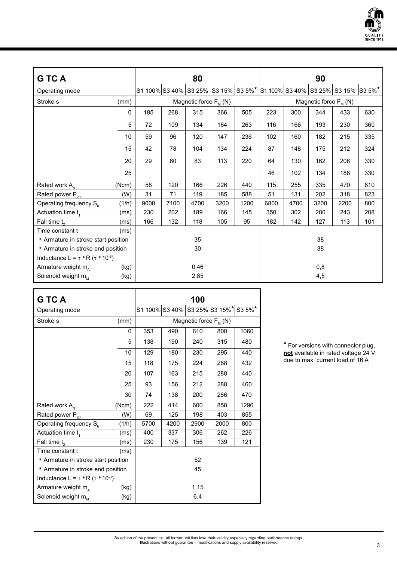

| <b>GTCA</b>                                                       |             |                                     | 80   |                            |      |      |                            | 90   |      |                                     |     |  |  |
|-------------------------------------------------------------------|-------------|-------------------------------------|------|----------------------------|------|------|----------------------------|------|------|-------------------------------------|-----|--|--|
| Operating mode                                                    |             | S1 100% S3 40% S3 25% S3 15% S3 5%* |      |                            |      |      |                            |      |      | S1 100% S3 40% S3 25% S3 15% S3 5%* |     |  |  |
| Stroke <sub>s</sub>                                               | (mm)        |                                     |      | Magnetic force $F_{M}$ (N) |      |      | Magnetic force $F_{M}$ (N) |      |      |                                     |     |  |  |
|                                                                   | $\mathbf 0$ | 185                                 | 268  | 315                        | 366  | 505  | 223                        | 300  | 344  | 433                                 | 630 |  |  |
|                                                                   | 5           | 72                                  | 109  | 134                        | 164  | 263  | 116                        | 166  | 193  | 230                                 | 360 |  |  |
|                                                                   | 10          | 59                                  | 96   | 120                        | 147  | 236  | 102                        | 160  | 182  | 215                                 | 335 |  |  |
|                                                                   | 15          | 42                                  | 78   | 104                        | 134  | 224  | 87                         | 148  | 175  | 212                                 | 324 |  |  |
|                                                                   | 20          | 29                                  | 60   | 83                         | 113  | 220  | 64                         | 130  | 162  | 206                                 | 330 |  |  |
|                                                                   | 25          |                                     |      |                            |      |      | 46                         | 102  | 134  | 188                                 | 330 |  |  |
| Rated work A <sub>N</sub>                                         | (Ncm)       | 58                                  | 120  | 166                        | 226  | 440  | 115                        | 255  | 335  | 470                                 | 810 |  |  |
| Rated power $P_{20}$                                              | (W)         | 31                                  | 71   | 119                        | 185  | 588  | 51                         | 131  | 202  | 318                                 | 823 |  |  |
| Operating frequency S <sub>n</sub>                                | (1/h)       | 9000                                | 7100 | 4700                       | 3200 | 1200 | 6800                       | 4700 | 3200 | 2200                                | 800 |  |  |
| Actuation time t                                                  | (ms)        | 230                                 | 202  | 189                        | 166  | 145  | 350                        | 302  | 280  | 243                                 | 208 |  |  |
| Fall time t <sub>2</sub>                                          | (ms)        | 166                                 | 132  | 118                        | 105  | 95   | 182                        | 142  | 127  | 113                                 | 101 |  |  |
| Time constant t                                                   | (ms)        |                                     |      |                            |      |      |                            |      |      |                                     |     |  |  |
| * Armature in stroke start position                               | 35          |                                     |      |                            |      | 38   |                            |      |      |                                     |     |  |  |
| * Armature in stroke end position                                 | 30          |                                     |      |                            | 38   |      |                            |      |      |                                     |     |  |  |
| Inductance L = $\tau$ <b>R</b> ( $\tau$ <b>10</b> <sup>-3</sup> ) |             |                                     |      |                            |      |      |                            |      |      |                                     |     |  |  |
| Armature weight m <sub>a</sub>                                    | (kg)        |                                     |      | 0,46                       |      |      |                            |      | 0,8  |                                     |     |  |  |
| Solenoid weight m <sub>M</sub>                                    | (kg)        |                                     | 2,85 |                            |      |      | 4,5                        |      |      |                                     |     |  |  |

| <b>GTCA</b>                                                       |       |                               |      | 100                        |      |        |  |
|-------------------------------------------------------------------|-------|-------------------------------|------|----------------------------|------|--------|--|
| Operating mode                                                    |       | S1 100% S3 40% S3 25% S3 15%* |      |                            |      | S3 5%* |  |
| Stroke s                                                          | (mm)  |                               |      | Magnetic force $F_{M}$ (N) |      |        |  |
|                                                                   | 0     | 353                           | 490  | 610                        | 800  | 1060   |  |
|                                                                   | 5     | 138                           | 190  | 240                        | 315  | 480    |  |
|                                                                   | 10    | 129                           | 180  | 230                        | 295  | 440    |  |
|                                                                   | 15    | 118                           | 175  | 224                        | 288  | 432    |  |
|                                                                   | 20    | 107                           | 163  | 215                        | 288  | 440    |  |
|                                                                   | 25    | 93                            | 156  | 212                        | 288  | 460    |  |
|                                                                   | 30    | 74                            | 138  | 200                        | 286  | 470    |  |
| Rated work A <sub>N</sub>                                         | (Ncm) | 222                           | 414  | 600                        | 858  | 1296   |  |
| Rated power P <sub>20</sub>                                       | (W)   | 69                            | 125  | 198                        | 403  | 855    |  |
| Operating frequency S <sub>h</sub>                                | (1/h) | 5700                          | 4200 | 2900                       | 2000 | 800    |  |
| Actuation time t,                                                 | (ms)  | 400                           | 337  | 306                        | 262  | 226    |  |
| Fall time t <sub>2</sub>                                          | (ms)  | 230                           | 175  | 156                        | 139  | 121    |  |
| Time constant t                                                   | (ms)  |                               |      |                            |      |        |  |
| * Armature in stroke start position                               | 52    |                               |      |                            |      |        |  |
| * Armature in stroke end position                                 | 45    |                               |      |                            |      |        |  |
| Inductance L = $\tau$ <b>R</b> ( $\tau$ <b>10</b> <sup>-3</sup> ) |       |                               |      |                            |      |        |  |
| Armature weight m <sub>a</sub>                                    | 1,15  |                               |      |                            |      |        |  |
| Solenoid weight m <sub>M</sub>                                    | (kg)  |                               |      | 6,4                        |      |        |  |

\* For versions with connector plug, **not** available in rated voltage 24 V due to max. current load of 16 A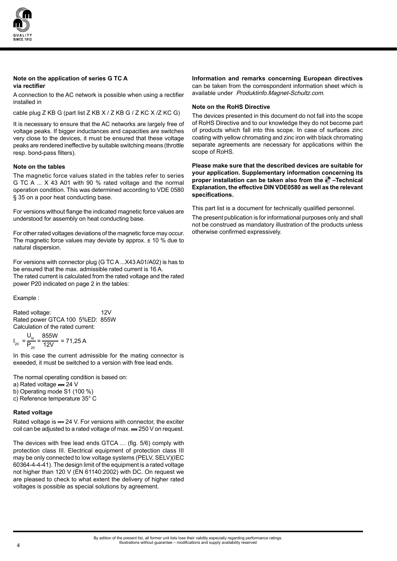

#### **Note on the application of series G TC A via rectifier**

A connection to the AC network is possible when using a rectifier installed in

cable plug Z KB G (part list Z KB X / Z KB G / Z KC X / Z KC G)

It is necessary to ensure that the AC networks are largely free of voltage peaks. If bigger inductances and capacities are switches very close to the devices, it must be ensured that these voltage peaks are rendered ineffective by suitable switching means (throttle resp. bond-pass filters).

#### **Note on the tables**

The magnetic force values stated in the tables refer to series G TC A ... X 43 A01 with 90 % rated voltage and the normal operation condition. This was determined according to VDE 0580 § 35 on a poor heat conducting base.

For versions without flange the indicated magnetic force values are understood for assembly on heat conducting base.

For other rated voltages deviations of the magnetic force may occur. The magnetic force values may deviate by approx. ± 10 % due to natural dispersion.

For versions with connector plug (G TC A ...X43 A01/A02) is has to be ensured that the max. admissible rated current is 16 A. The rated current is calculated from the rated voltage and the rated power P20 indicated on page 2 in the tables:

Example :

Rated voltage: 12V Rated power GTCA 100 5%ED: 855W Calculation of the rated current:

$$
I_{20} = \frac{U_{N}}{P_{20}} = \frac{855W}{12V} = 71,25 A
$$

In this case the current admissible for the mating connector is exeeded, it must be switched to a version with free lead ends.

The normal operating condition is based on:

- a) Rated voltage  $= 24 V$
- b) Operating mode S1 (100 %)
- c) Reference temperature 35° C

#### **Rated voltage**

Rated voltage is = 24 V. For versions with connector, the exciter coil can be adjusted to a rated voltage of max.  $=$  250 V on request.

The devices with free lead ends GTCA … (fig. 5/6) comply with protection class III. Electrical equipment of protection class III may be only connected to low voltage systems (PELV, SELV)(IEC 60364-4-4-41). The design limit of the equipment is a rated voltage not higher than 120 V (EN 61140:2002) with DC. On request we are pleased to check to what extent the delivery of higher rated voltages is possible as special solutions by agreement.

**Information and remarks concerning European directives**  can be taken from the correspondent information sheet which is available under Produktinfo.Magnet-Schultz.com.

#### **Note on the RoHS Directive**

The devices presented in this document do not fall into the scope of RoHS Directive and to our knowledge they do not become part of products which fall into this scope. In case of surfaces zinc coating with yellow chromating and zinc iron with black chromating separate agreements are necessary for applications within the scope of RoHS.

**Please make sure that the described devices are suitable for your application. Supplementary information concerning its proper installation can be taken also from the –Technical Explanation, the effective DIN VDE0580 as well as the relevant specifications.**

This part list is a document for technically qualified personnel.

The present publication is for informational purposes only and shall not be construed as mandatory illustration of the products unless otherwise confirmed expressively.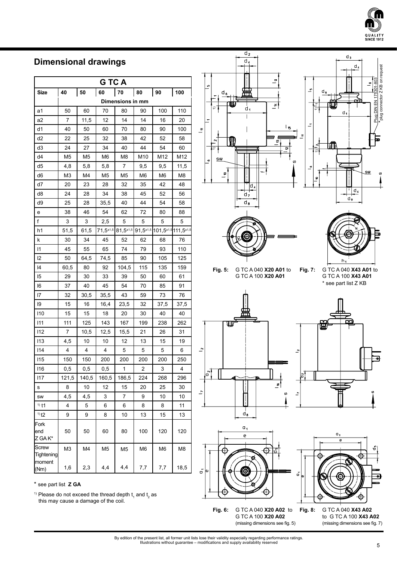

\*plug connector Z KB on request

 $\frac{1803}{2}$ 

Plug DIN EN 175

plug connector Z KB on request

# **Dimensional drawings**

| <b>GTCA</b>                          |                |       |                  |                  |                |                              |      |
|--------------------------------------|----------------|-------|------------------|------------------|----------------|------------------------------|------|
| Size                                 | 40             | 50    | 60               | 70               | 80             | 90                           | 100  |
|                                      |                |       |                  | Dimensions in mm |                |                              |      |
| a1                                   | 50             | 60    | 70               | 80               | 90             | 100                          | 110  |
| a2                                   | 7              | 11,5  | 12               | 14               | 14             | 16                           | 20   |
| d1                                   | 40             | 50    | 60               | 70               | 80             | 90                           | 100  |
| d2                                   | 22             | 25    | 32               | 38               | 42             | 52                           | 58   |
| d3                                   | 24             | 27    | 34               | 40               | 44             | 54                           | 60   |
| d4                                   | M <sub>5</sub> | M5    | M6               | M8               | M10            | M12                          | M12  |
| d5                                   | 4,8            | 5,8   | 5,8              | 7                | 9,5            | 9,5                          | 11,5 |
| d6                                   | M3             | M4    | M <sub>5</sub>   | M5               | M6             | M6                           | M8   |
| d7                                   | 20             | 23    | 28               | 32               | 35             | 42                           | 48   |
| d8                                   | 24             | 28    | 34               | 38               | 45             | 52                           | 56   |
| d9                                   | 25             | 28    | 35,5             | 40               | 44             | 54                           | 58   |
| е                                    | 38             | 46    | 54               | 62               | 72             | 80                           | 88   |
| f                                    | 3              | 3     | 2,5              | 5                | 5              | 5                            | 5    |
| h1                                   | 51,5           | 61,5  | $71,5^{\pm 1,5}$ | $81,5^{\pm 1,5}$ |                | 91,5±1,5 101,5±1,5 111,5±1,5 |      |
| k                                    | 30             | 34    | 45               | 52               | 62             | 68                           | 76   |
| 11                                   | 45             | 55    | 65               | 74               | 79             | 93                           | 110  |
| 12                                   | 50             | 64,5  | 74,5             | 85               | 90             | 105                          | 125  |
| 14                                   | 60,5           | 80    | 92               | 104,5            | 115            | 135                          | 159  |
| 15                                   | 29             | 30    | 33               | 39               | 50             | 60                           | 61   |
| 16                                   | 37             | 40    | 45               | 54               | 70             | 85                           | 91   |
| $\overline{7}$                       | 32             | 30,5  | 35,5             | 43               | 59             | 73                           | 76   |
| 19                                   | 15             | 16    | 16,4             | 23,5             | 32             | 37,5                         | 37,5 |
| 110                                  | 15             | 15    | 18               | 20               | 30             | 40                           | 40   |
| 111                                  | 111            | 125   | 143              | 167              | 199            | 238                          | 262  |
| 112                                  | 7              | 10,5  | 12,5             | 15,5             | 21             | 26                           | 31   |
| 113                                  | 4,5            | 10    | 10               | 12               | 13             | 15                           | 19   |
| 114                                  | 4              | 4     | 4                | 5                | 5              | 5                            | 6    |
| 115                                  | 150            | 150   | 200              | 200              | 200            | 200                          | 250  |
| 116                                  | $_{0,5}$       | 0,5   | 0,5              | 1                | 2              | 3                            | 4    |
| 117                                  | 121,5          | 140,5 | 160,5            | 186,5            | 224            | 268                          | 296  |
| s                                    | 8              | 10    | 12               | 15               | 20             | 25                           | 30   |
| SW                                   | 4,5            | 4,5   | 3                | 7                | 9              | 10                           | 10   |
| $1)$ t1                              | 4              | 5     | 6                | 6                | 8              | 8                            | 11   |
| $1)$ t <sub>2</sub>                  | 9              | 9     | 8                | 10               | 13             | 15                           | 13   |
| Fork<br>end<br>Z GA K*               | 50             | 50    | 60               | 80               | 100            | 120                          | 120  |
| Screw<br><b>Tightening</b><br>moment | M <sub>3</sub> | M4    | M <sub>5</sub>   | M <sub>5</sub>   | M <sub>6</sub> | M <sub>6</sub>               | M8   |
| (Nm)                                 | 1,6            | 2,3   | 4,4              | 4,4              | 7,7            | 7,7                          | 18,5 |

\* see part list **Z GA**

<sup>1)</sup> Please do not exceed the thread depth  $t_1$  and  $t_2$  as this may cause a damage of the coil.







**Fig. 5:** G TC A 040 **X20 A01** to G TC A 100 **X20 A01**

**Fig. 7:** G TC A 040 **X43 A01** to G TC A 100 **X43 A01** \* see part list Z KB







 $\ddot{\sigma}$  $\Phi$ Ë

**Fig. 6:** G TC A 040 **X20 A02** to G TC A 100 **X20 A02** (missing dimensions see fig. 5)

**Fig. 8:** G TC A 040 **X43 A02** to G TC A 100 **X43 A02** (missing dimensions see fig. 7)

By edition of the present list, all former unit lists lose their validity especially regarding performance ratings. Illustrations without guarantee – modifications and supply availability reserved